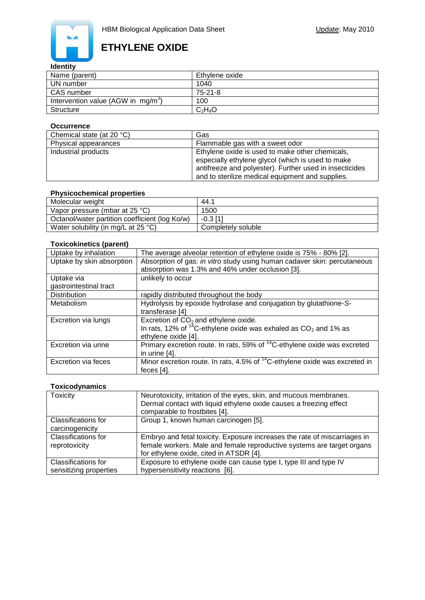

# **ETHYLENE OXIDE**

#### **Identity**

| Name (parent)                         | Ethvlene oxide |
|---------------------------------------|----------------|
| UN number                             | 1040           |
| CAS number                            | 75-21-8        |
| Intervention value (AGW in $mg/m^3$ ) | 100            |
| Structure                             | $C_2H_4O$      |

#### **Occurrence**

| Chemical state (at 20 $°C$ ) | Gas                                                                                                                                                                                                                 |
|------------------------------|---------------------------------------------------------------------------------------------------------------------------------------------------------------------------------------------------------------------|
| Physical appearances         | Flammable gas with a sweet odor                                                                                                                                                                                     |
| Industrial products          | Ethylene oxide is used to make other chemicals,<br>especially ethylene glycol (which is used to make<br>antifreeze and polyester). Further used in insecticides<br>and to sterilize medical equipment and supplies. |

## **Physicochemical properties**

| Molecular weight                               | 44.1               |
|------------------------------------------------|--------------------|
| Vapor pressure (mbar at $25 °C$ )              | 1500               |
| Octanol/water partition coefficient (log Ko/w) | $-0.3$ [1]         |
| Water solubility (in mg/L at 25 $^{\circ}$ C)  | Completely soluble |

#### **Toxicokinetics (parent)**

| Uptake by inhalation      | The average alveolar retention of ethylene oxide is 75% - 80% [2].                     |  |
|---------------------------|----------------------------------------------------------------------------------------|--|
| Uptake by skin absorption | Absorption of gas: in vitro study using human cadaver skin: percutaneous               |  |
|                           | absorption was 1.3% and 46% under occlusion [3].                                       |  |
| Uptake via                | unlikely to occur                                                                      |  |
| gastrointestinal tract    |                                                                                        |  |
| <b>Distribution</b>       | rapidly distributed throughout the body                                                |  |
| Metabolism                | Hydrolysis by epoxide hydrolase and conjugation by glutathione-S-                      |  |
|                           | transferase [4]                                                                        |  |
| Excretion via lungs       | Excretion of $CO2$ and ethylene oxide.                                                 |  |
|                           | In rats, 12% of $14^{\circ}$ C-ethylene oxide was exhaled as CO <sub>2</sub> and 1% as |  |
|                           | ethylene oxide [4].                                                                    |  |
| Excretion via urine       | Primary excretion route. In rats, 59% of <sup>14</sup> C-ethylene oxide was excreted   |  |
|                           | in urine [4].                                                                          |  |
| Excretion via feces       | Minor excretion route. In rats, 4.5% of <sup>14</sup> C-ethylene oxide was excreted in |  |
|                           | feces $[4]$ .                                                                          |  |

### **Toxicodynamics**

| Toxicity                                      | Neurotoxicity, irritation of the eyes, skin, and mucous membranes.<br>Dermal contact with liquid ethylene oxide causes a freezing effect<br>comparable to frostbites [4].                      |
|-----------------------------------------------|------------------------------------------------------------------------------------------------------------------------------------------------------------------------------------------------|
| Classifications for<br>carcinogenicity        | Group 1, known human carcinogen [5].                                                                                                                                                           |
| <b>Classifications for</b><br>reprotoxicity   | Embryo and fetal toxicity. Exposure increases the rate of miscarriages in<br>female workers. Male and female reproductive systems are target organs<br>for ethylene oxide, cited in ATSDR [4]. |
| Classifications for<br>sensitizing properties | Exposure to ethylene oxide can cause type I, type III and type IV<br>hypersensitivity reactions [6].                                                                                           |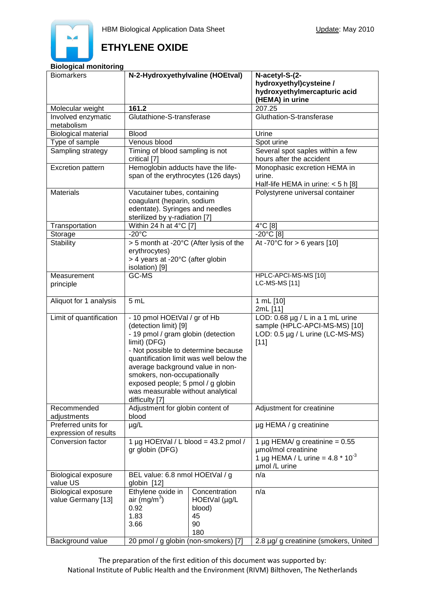

# **ETHYLENE OXIDE**

#### **Biological monitoring**

| <b>Biomarkers</b>          | N-2-Hydroxyethylvaline (HOEtval)                                 |               | N-acetyl-S-(2-<br>hydroxyethyl)cysteine /                    |
|----------------------------|------------------------------------------------------------------|---------------|--------------------------------------------------------------|
|                            |                                                                  |               | hydroxyethylmercapturic acid<br>(HEMA) in urine              |
| Molecular weight           | 161.2                                                            |               | 207.25                                                       |
| Involved enzymatic         | Glutathione-S-transferase                                        |               | Gluthation-S-transferase                                     |
| metabolism                 |                                                                  |               |                                                              |
| <b>Biological material</b> | <b>Blood</b>                                                     |               | Urine                                                        |
| Type of sample             | Venous blood                                                     |               | Spot urine                                                   |
| Sampling strategy          | Timing of blood sampling is not                                  |               | Several spot saples within a few                             |
|                            | critical [7]                                                     |               | hours after the accident                                     |
| Excretion pattern          | Hemoglobin adducts have the life-                                |               | Monophasic excretion HEMA in                                 |
|                            | span of the erythrocytes (126 days)                              |               | urine.<br>Half-life HEMA in urine: $<$ 5 h [8]               |
| <b>Materials</b>           | Vacutainer tubes, containing                                     |               | Polystyrene universal container                              |
|                            | coagulant (heparin, sodium                                       |               |                                                              |
|                            | edentate). Syringes and needles                                  |               |                                                              |
|                            | sterilized by y-radiation [7]                                    |               |                                                              |
| Transportation             | Within 24 h at $4^{\circ}$ C [7]                                 |               | 4°C [8]                                                      |
| Storage                    | $-20^{\circ}$ C                                                  |               | $-20^{\circ}$ C [8]                                          |
| <b>Stability</b>           | > 5 month at -20°C (After lysis of the                           |               | At -70 $\degree$ C for > 6 years [10]                        |
|                            | erythrocytes)                                                    |               |                                                              |
|                            | > 4 years at -20°C (after globin                                 |               |                                                              |
|                            | isolation) [9]                                                   |               |                                                              |
| Measurement                | GC-MS                                                            |               | HPLC-APCI-MS-MS [10]<br>LC-MS-MS [11]                        |
| principle                  |                                                                  |               |                                                              |
| Aliquot for 1 analysis     | 5 mL                                                             |               | 1 mL [10]                                                    |
|                            |                                                                  |               | 2mL [11]                                                     |
| Limit of quantification    | - 10 pmol HOEtVal / gr of Hb                                     |               | LOD: $0.68 \mu g / L$ in a 1 mL urine                        |
|                            | (detection limit) [9]                                            |               | sample (HPLC-APCI-MS-MS) [10]                                |
|                            | - 19 pmol / gram globin (detection                               |               | LOD: 0.5 µg / L urine (LC-MS-MS)                             |
|                            | limit) (DFG)<br>- Not possible to determine because              |               | $[11]$                                                       |
|                            |                                                                  |               |                                                              |
|                            | quantification limit was well below the                          |               |                                                              |
|                            | average background value in non-                                 |               |                                                              |
|                            | smokers, non-occupationally<br>exposed people; 5 pmol / g globin |               |                                                              |
|                            | was measurable without analytical                                |               |                                                              |
|                            | difficulty [7]                                                   |               |                                                              |
| Recommended                | Adjustment for globin content of                                 |               | Adjustment for creatinine                                    |
| adjustments                | blood                                                            |               |                                                              |
| Preferred units for        | $\mu$ g/L                                                        |               | µg HEMA / g creatinine                                       |
| expression of results      |                                                                  |               |                                                              |
| Conversion factor          | 1 µg HOEtVal / L blood = 43.2 pmol /<br>gr globin (DFG)          |               | 1 µg HEMA/ g creatinine = $0.55$                             |
|                            |                                                                  |               | µmol/mol creatinine<br>1 µg HEMA / L urine = $4.8 * 10^{-3}$ |
|                            |                                                                  |               | umol /L urine                                                |
| Biological exposure        | BEL value: 6.8 nmol HOEtVal / g                                  |               | n/a                                                          |
| value US                   | globin [12]                                                      |               |                                                              |
| <b>Biological exposure</b> | Ethylene oxide in                                                | Concentration | n/a                                                          |
| value Germany [13]         | air (mg/m <sup>3</sup> )                                         | HOEtVal (µg/L |                                                              |
|                            | 0.92                                                             | blood)        |                                                              |
|                            | 1.83                                                             | 45            |                                                              |
|                            | 3.66                                                             | 90            |                                                              |
|                            |                                                                  | 180           |                                                              |
| Background value           | 20 pmol / g globin (non-smokers) [7]                             |               | 2.8 µg/ g creatinine (smokers, United                        |

The preparation of the first edition of this document was supported by: National Institute of Public Health and the Environment (RIVM) Bilthoven, The Netherlands